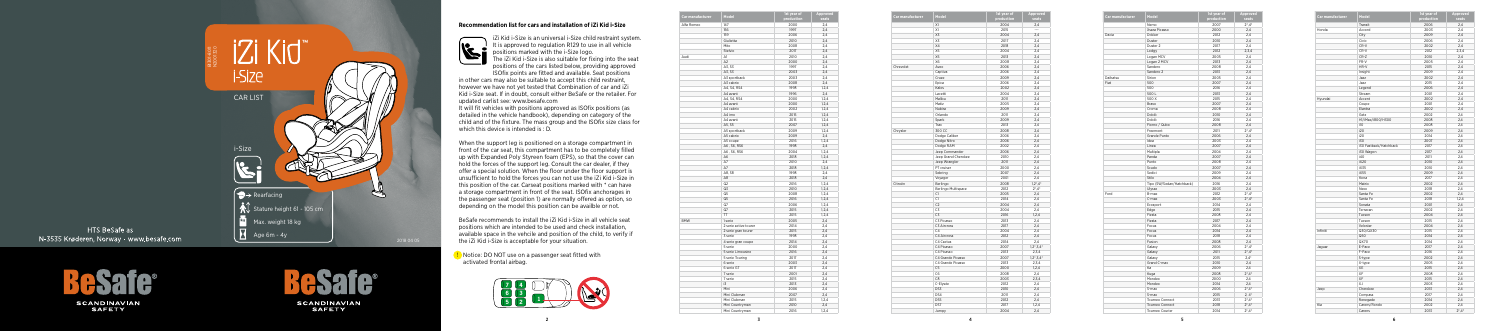5

## **Recommendation list for cars and installation of iZi Kid i-Size**



 iZi Kid i-Size is an universal i-Size child restraint system. I It is approved to regulation R129 to use in all vehicle positions marked with the i-Size logo.

The iZi Kid i-Size is also suitable for fixing into the seat positions of the cars listed below, providing approved ISOfix points are fitted and available. Seat positions

It will fit vehicles with positions approved as ISOfix positions (as detailed in the vehicle handbook), depending on category of the child and of the fixture. The mass group and the ISOfix size class for which this device is intended is : D.

in other cars may also be suitable to accept this child restraint, however we have not yet tested that Combination of car and iZi Kid i-Size seat. If in doubt, consult either BeSafe or the retailer. For updated carlist see: www.besafe.com

When the support leg is positioned on a storage compartment in front of the car seat, this compartment has to be completely filled up with Expanded Poly Styreen foam (EPS), so that the cover can hold the forces of the support leg. Consult the car dealer, if they offer a special solution. When the floor under the floor support is unsufficient to hold the forces you can not use the iZi Kid i-Size in this position of the car. Carseat positions marked with \* can have a storage compartment in front of the seat. ISOfix anchorages in the passenger seat (position 1) are normally offered as option, so depending on the model this position can be availble or not.

BeSafe recommends to install the iZi Kid i-Size in all vehicle seat positions which are intended to be used and check installation, available space in the vehcile and position of the child, to verify if the iZi Kid i-Size is acceptable for your situation.

| Car manufacturer | Model               | 1st year of<br>production | Approved<br>seats      |
|------------------|---------------------|---------------------------|------------------------|
|                  | X1                  | 2004                      | 2,4                    |
|                  | X1                  | 2015                      | ---                    |
|                  | X3                  | 2004                      | 2,4                    |
|                  | X3                  | 2017                      | 2,4                    |
|                  | X4                  | 2018                      | 2,4                    |
|                  | X5                  | 2004                      | 2,4                    |
|                  | X5                  | 2013                      | 2.4                    |
|                  | X <sub>6</sub>      | 2008                      | 2,4                    |
| Chrevolet        | Aveo                | 2006                      | 2,4                    |
|                  | Captiva             | 2006                      | 2,4                    |
|                  | Cruze               | 2009                      | 2,4                    |
|                  | Epica               | 2006                      | 2,4                    |
|                  |                     |                           |                        |
|                  | Kalos               | 2002                      | 2,4                    |
|                  | Lacetti             | 2004                      | 2,4                    |
|                  | Malibu              | 2011                      | 2,4                    |
|                  | Matiz               | 2005                      | 2,4                    |
|                  | Nubira              | 2009                      | 2.4                    |
|                  | Orlando             | 2011                      | 2,4                    |
|                  | Spark               | 2009                      | 2,4                    |
|                  | Trax                | 2013                      | 2,4                    |
| Chrysler         | 300 CC              | 2008                      | 2,4                    |
|                  | Dodge Caliber       | 2006                      | 2.4                    |
|                  | Dodge Nitro         | 2006                      | 2,4                    |
|                  | Dodge RAM           | 2002                      | 2,4                    |
|                  | Jeep Commander      | 2006                      | 2,4                    |
|                  | Jeep Grand Cherokee | 2010                      | 2,4                    |
|                  | Jeep Wrangler       | 2011                      | 2,4                    |
|                  | PT cruiser          | 2000                      | 2,4                    |
|                  | Sebring             | 2007                      | 2,4                    |
|                  | Voyager             | 2001                      | 2,4                    |
| Citroën          | Berlingo            | 2008                      | $1,2^*$ , $4^*$        |
|                  | Berlingo Multispace | 2012                      | $2^*$ , 4 <sup>*</sup> |
|                  | C1                  | 2005                      | 2,4                    |
|                  | C1                  | 2014                      | 2,4                    |
|                  | C <sub>2</sub>      | 2004                      |                        |
|                  |                     |                           | 2,4                    |
|                  | C3                  | 2004                      | 2,4                    |
|                  | C <sub>3</sub>      | 2016                      | 1,2,4                  |
|                  | C3 Picasso          | 2013                      | 2,4                    |
|                  | C3 Aircross         | 2017                      | 2,4                    |
|                  | C <sub>4</sub>      | 2004                      | 2,4                    |
|                  | C4 Aircross         | 2012                      | 2.4                    |
|                  | C4 Cactus           | 2014                      | 2,4                    |
|                  | C4 Picasso          | 2007                      | $1,2^*,3,4^*$          |
|                  | C4 Picasso          | 2013                      | 2,3,4                  |
|                  | C4 Grande Picasso   | 2007                      | $1,2^*,3,4^*$          |
|                  | C4 Grande Picasso   | 2013                      | 2,3,4                  |
|                  | C <sub>5</sub>      | 2000                      | 1.2.4                  |
|                  | C <sub>6</sub>      | 2008                      | 2,4                    |
|                  | C8                  | 2003                      | 2,3,4                  |
|                  | C-Elysée            | 2012                      | 2,4                    |
|                  | DS3                 | 2010                      | 2,4                    |
|                  | DS4                 | 2011                      | 2,4                    |
|                  | DS5                 | 2012                      | 2,4                    |
|                  | DS7                 | 2017                      | 1,2,4                  |
|                  |                     |                           |                        |

**!** Notice: DO NOT use on a passenger seat fitted with activated frontal airbag.

| Car manufacturer | Model                     | 1st year of<br>production | Approved<br>seats      |
|------------------|---------------------------|---------------------------|------------------------|
|                  | Nemo                      | 2007                      | $2^*$ , 4 $*$          |
|                  | Xsara Picasso             | 2000                      | 2.4                    |
| Dacia            | Dokker                    | 2012                      | 2.4                    |
|                  | Duster                    | 2010                      | 2,4                    |
|                  | Duster 2                  | 2017                      | 2,4                    |
|                  | Lodgy                     | 2012                      | 2,3,4                  |
|                  | Logan MCV                 | 2005                      | 2,4                    |
|                  | Logan 2 MCV               | 2013                      | 2.4                    |
|                  | Sandero                   | 2008                      | 2,4                    |
|                  | Sandero 2                 | 2013                      | 2,4                    |
| Daihatsu         | Sirion                    | 2005                      | 2,4                    |
| Fiat             | 500                       | 2007                      | 2,4                    |
|                  | 500                       | 2016                      | 2,4                    |
|                  | 500L                      | 2013                      | 2,4                    |
|                  | 500 X                     | 2015                      | 2,4                    |
|                  | Bravo                     | 2007                      | 2,4                    |
|                  | Croma                     | 2008                      | 2,4                    |
|                  | Doblò                     | 2010                      | 2,4                    |
|                  | Doblò                     | 2016                      | 2,4                    |
|                  | Fiorno / Qubo             | 2008                      | 2,4                    |
|                  | Freemont                  | 2011                      | $2^*$ , 4 <sup>*</sup> |
|                  | Grande Punto              | 2006                      | 2,4                    |
|                  | Idea                      | 2003                      | 2,4                    |
|                  | Linea                     | 2007                      | 2,4                    |
|                  | Multipla                  |                           |                        |
|                  | Panda                     | 2004<br>2007              | 2,4<br>2,4             |
|                  | Punto                     |                           |                        |
|                  |                           | 2008                      | 2,4                    |
|                  | Scudo                     | 2007                      | 2,4                    |
|                  | Sedici                    | 2009                      | 2,4                    |
|                  | Stilo                     | 2004                      | 2,4                    |
|                  | Tipo (SW/Sedan/Hatchback) | 2016                      | 2,4                    |
|                  | Ulysse                    | 2003                      | 2,4                    |
| Ford             | B-max                     | 2012                      | $2^*$ , 4 <sup>*</sup> |
|                  | C-max                     | 2003                      | $2^*$ , $4^*$          |
|                  | Ecosport                  | 2014                      | 2,4                    |
|                  | Edge                      | 2015                      | 2,4                    |
|                  | Fiesta                    | 2008                      | 2,4                    |
|                  | Fiesta                    | 2017                      | 2.4                    |
|                  | Focus                     | 2004                      | 2,4                    |
|                  | Focus                     | 2014                      | 2,4                    |
|                  | Focus                     | 2018                      | 2,4                    |
|                  | Fusion                    | 2008                      | 2,4                    |
|                  | Galaxy                    | 2006                      | $2^*$ , 4 <sup>*</sup> |
|                  | Galaxy                    | 2011                      | $2^*$ , 4 $*$          |
|                  | Galaxy                    | 2015                      | $2.4*$                 |
|                  | Grand C-max               | 2010                      | 2,4                    |
|                  | Ka                        | 2009                      | 2,4                    |
|                  | Kuga                      | 2008                      | $2^*$ , $4^*$          |
|                  | Mondeo                    | 2000                      | 2.4                    |
|                  | Mondeo                    | 2014                      | 2,4                    |
|                  | S-max                     | 2006                      | $2^*$ , 4 <sup>*</sup> |
|                  | S-max                     | 2015                      | $2, 4^*$               |
|                  | Tourneo Connect           | 2013                      | $2^*4^*$               |
|                  | Tourneo Connect           | 2018                      | $2^*$ , 4*             |
|                  | Tourneo Courier           | 2014                      | $2^*$ , 4 <sup>*</sup> |

| Car manufacturer | Model                 | 1st year of<br>production | Approved<br>seats |
|------------------|-----------------------|---------------------------|-------------------|
| Alfa Romeo       | 147                   | 2000                      | 2.4               |
|                  | 156                   | 1997                      | 2,4               |
|                  | 159                   | 2006                      | 2,4               |
|                  | Giulietta             | 2010                      | 2,4               |
|                  | Mito                  | 2008                      | 2.4               |
|                  | Stelvio               | 2017                      | 2.4               |
| Audi             | A1                    | 2010                      | 2,4               |
|                  | A <sub>2</sub>        | 2000                      | 2,4               |
|                  | A3, S3                | 1997                      | 2,4               |
|                  | A3. S3                | 2003                      | 2.4               |
|                  | A3 sportback          | 2003                      | 2,4               |
|                  | A3 cabrio             | 2008                      | 2,4               |
|                  | A4, S4, RS4           | 1998                      | 1,2,4             |
|                  | A4 avant              | 1996                      | 2.4               |
|                  | A4, S4, RS4           | 2000                      | 1,2,4             |
|                  | A4 avant              | 2000                      | 1, 2, 4           |
|                  | A4 cabrio             | 2002                      | 1, 2, 4           |
|                  | A4 imo                |                           |                   |
|                  |                       | 2015                      | 1,2,4             |
|                  | A4 avant              | 2015                      | 1,2,4             |
|                  | A5, S5                | 2007                      | 1,2,4             |
|                  | A5 sportback          | 2009                      | 1, 2, 4           |
|                  | A5 cabrio             | 2009                      | 2,4               |
|                  | A5 coupe              | 2016                      | 1.2.4             |
|                  | A6, S6, RS6           | 1998                      | 2,4               |
|                  | A6, S6, RS6           | 2004                      | 1, 2, 4           |
|                  | A6                    | 2018                      | 1, 2, 4           |
|                  | A7                    | 2010                      | 2.4               |
|                  | A7                    | 2018                      | 1,2,4             |
|                  | A8, S8                | 1998                      | 2,4               |
|                  | A8                    | 2018                      | 2,4               |
|                  | Q2                    | 2016                      | 1,2,4             |
|                  | Q3                    | 2010                      | 1.2.4             |
|                  | Q <sub>5</sub>        | 2008                      | 1, 2, 4           |
|                  | Q <sub>5</sub>        | 2016                      | 1, 2, 4           |
|                  | $Q$ 7                 | 2006                      | 1,2,4             |
|                  | Q7                    | 2015                      | 1.2.4             |
|                  | <b>TT</b>             | 2015                      | 1,2,4             |
| <b>BMW</b>       | 1 serie               | 2005                      | 2,4               |
|                  | 2 serie active tourer | 2014                      | 2,4               |
|                  | 2 serie gran tourer   | 2015                      | 2,4               |
|                  | 3 serie               | 1998                      | 2,4               |
|                  | 4 serie gran coupe    | 2014                      | 2,4               |
|                  | 5 serie               | 2000                      | 2,4               |
|                  | 5 serie Limousine     | 2016                      | 2,4               |
|                  | 5 serie Touring       | 2017                      | 2.4               |
|                  | 6 serie               | 2003                      | 2,4               |
|                  | 6 serie GT            | 2017                      | 2,4               |
|                  | 7 serie               | 2001                      | 2,4               |
|                  | 7 serie               | 2015                      | 2.4               |
|                  | i3                    | 2013                      | 2,4               |
|                  | Mini                  | 2006                      |                   |
|                  |                       |                           | 2,4               |
|                  | Mini Clubman          | 2007                      | 2,4               |
|                  | Mini Clubman          | 2015                      | 1,2,4             |
|                  | Mini Countryman       | 2010                      | 2,4               |
|                  | Mini Countryman       | 2016                      | 1,2,4             |

**Car manufact** 



HTS BeSafe as N-3535 Krøderen, Norway - www.besafe.com

SCANDINAVIAN<br>SAFETY



**SCANDINAVIAN SAFETY** 



| Car manufacturer | Model                  | <b>1st year of</b> | Appro     |
|------------------|------------------------|--------------------|-----------|
|                  |                        | production         | .<br>seat |
|                  | Transit                | 2006               | 2,4       |
| Honda            | Accord                 | 2003               | 2,4       |
|                  | City                   | 2009               | 2,4       |
|                  | Civic                  | 2006               | 2,4       |
|                  | CR-V                   | 2002               | 2,4       |
|                  | CR-V                   | 2012               | 2, 3,     |
|                  | CR-Z                   | 2010               | 2,4       |
|                  | FR-V                   | 2005               | 2,4       |
|                  | HR-V                   | 2015               | 2,4       |
|                  | Insight                | 2009               | 2,4       |
|                  | Jazz                   | 2002               | 2,4       |
|                  | Jazz                   | 2015               | 2,4       |
|                  | Legend                 | 2006               | 2,4       |
|                  | Stream                 | 2001               | 2,4       |
| Hyundai          | Accent                 | 2002               | 2,4       |
|                  | Coupe                  | 2001               | 2,4       |
|                  | Elantra                | 2002               | 2,4       |
|                  | Getz                   | 2002               | 2,4       |
|                  | H1/iMax/i800/H300      | 2008               | 2,4       |
|                  | i10                    | 2008               | 2,4       |
|                  | i20                    | 2009               | 2,4       |
|                  | i20                    | 2014               | 2,4       |
|                  | i30                    | 2007               | 2,4       |
|                  | i30 Fastback/Hatchback | 2017               | 2,4       |
|                  | i30 Wagon              | 2017               | 2,4       |
|                  | i40                    | 2011               | 2,4       |
|                  | iX20                   | 2010               | 2,4       |
|                  | iX35                   | 2010               |           |
|                  |                        |                    | 2,4       |
|                  | iX55                   | 2009               | 2,4       |
|                  | Kona                   | 2017               | 2,4       |
|                  | Matrix                 | 2002               | 2,4       |
|                  | Nexo                   | 2018               | 2,4       |
|                  | Santa Fe               | 2002               | 2,4       |
|                  | Santa Fe               | 2018               | 1, 2, 4   |
|                  | Sonata                 | 2001               | 2,4       |
|                  | Terracan               | 2002               | 2,4       |
|                  | Tucson                 | 2004               | 2,4       |
|                  | Tucson                 | 2015               | 2,4       |
|                  | Veloster               | 2004               | 2,4       |
| Infiniti         | Q30/QX30               | 2015               | 2,4       |
|                  | Q50                    | 2014               | 2,4       |
|                  | QX70                   | 2014               | 2,4       |
| Jaguar           | E-Pace                 | 2017               | 2,4       |
|                  | F-Pace                 | 2016               | 2,4       |
|                  | S-type                 | 2002               | 2.4       |
|                  | X-type                 | 2005               | 2,4       |
|                  | XE                     | 2015               | 2,4       |
|                  | XF                     | 2008               | 2.4       |
|                  | XF                     | 2015               | 2,4       |
|                  | XJ                     | 2003               | 2,4       |
| Jeep             | Cherokee               | 2013               | 2,4       |
|                  | Compass                | 2017               | 2,4       |
|                  | Renegade               | 2014               | 2,4       |
| Kia              | Carens/Rondo           | 2002               | 2,4       |
|                  | Carens                 | 2013               | $2^*$ .4  |
|                  |                        |                    |           |

the contract of the contract of the contract of

| Model                  | 1st year of<br>production | Approved<br>seats |
|------------------------|---------------------------|-------------------|
| Transit                | 2006                      | 2,4               |
| Accord                 | 2003                      | 2,4               |
| City                   | 2009                      | 2,4               |
| Civic                  | 2006                      | 2,4               |
| CR-V                   | 2002                      | 2,4               |
| CR-V                   | 2012                      | 2,3,4             |
| CR-Z                   | 2010                      | 2,4               |
| FR-V                   | 2005                      | 2,4               |
| HR-V                   | 2015                      | 2,4               |
| Insight                | 2009                      | 2,4               |
| Jazz                   | 2002                      | 2,4               |
| Jazz                   | 2015                      | 2,4               |
| Legend                 | 2006                      | 2,4               |
| Stream                 | 2001                      | 2,4               |
| Accent                 | 2002                      | 2,4               |
| Coupe                  | 2001                      | 2,4               |
| Elantra                | 2002                      | 2,4               |
| Getz                   | 2002                      | 2,4               |
| H1/iMax/i800/H300      | 2008                      | 2,4               |
| i10                    | 2008                      | 2,4               |
| i20                    | 2009                      | 2,4               |
| i20                    | 2014                      | 2,4               |
| i30                    | 2007                      | 2,4               |
| i30 Fastback/Hatchback | 2017                      | 2,4               |
| i30 Wagon              | 2017                      | 2,4               |
| i40                    | 2011                      | 2,4               |
| iX20                   | 2010                      | 2,4               |
| iX35                   | 2010                      | 2,4               |
| iX55                   | 2009                      | 2,4               |
| Kona                   | 2017                      | 2,4               |
| Matrix                 | 2002                      | 2,4               |
| Nexo                   | 2018                      | 2,4               |
| Santa Fe               | 2002                      | 2,4               |
| Santa Fe               | 2018                      | 1,2,4             |
| Sonata                 | 2001                      | 2,4               |
| Terracan               | 2002                      | 2,4               |
| Tucson                 | 2004                      | 2,4               |
| Tucson                 | 2015                      | 2,4               |
| Veloster               | 2004                      | 2,4               |
| Q30/QX30               | 2015                      | 2,4               |
| Q50                    | 2014                      | 2,4               |
| QX70                   | 2014                      | 2,4               |
| E-Pace                 | 2017                      | 2,4               |
| F-Pace                 | 2016                      | 2,4               |
| S-type                 | 2002                      | 2,4               |
| X-type                 | 2005                      | 2,4               |
| XE                     |                           |                   |
| XF                     | 2015                      | 2,4               |
| XF                     | 2008                      | 2,4               |
|                        | 2015                      | 2,4               |
| XJ                     | 2003                      | 2,4               |
| Cherokee               | 2013                      | 2,4               |
| Compass                | 2017                      | 2,4               |
| Renegade               | 2014                      | 2,4               |
| Carens/Rondo           | 2002                      | 2,4               |
| Carens                 | 2013                      | $2^*$ , $4^*$     |